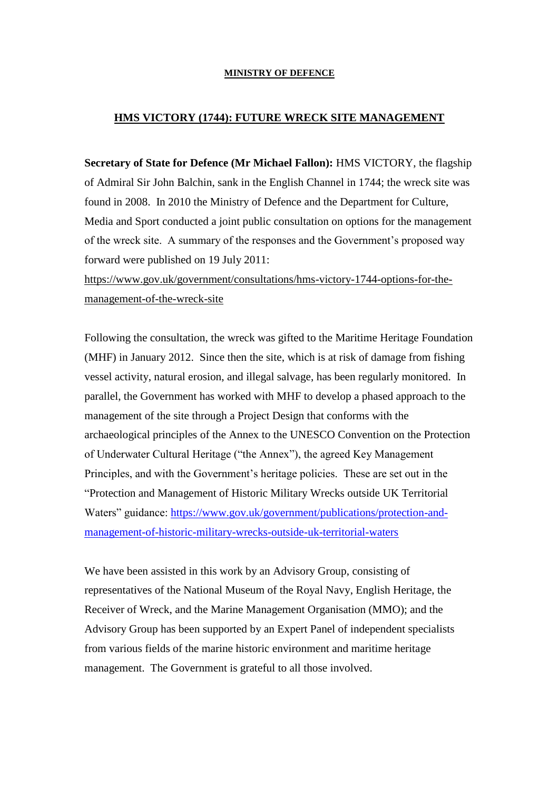## **MINISTRY OF DEFENCE**

## **HMS VICTORY (1744): FUTURE WRECK SITE MANAGEMENT**

**Secretary of State for Defence (Mr Michael Fallon):** HMS VICTORY, the flagship of Admiral Sir John Balchin, sank in the English Channel in 1744; the wreck site was found in 2008. In 2010 the Ministry of Defence and the Department for Culture, Media and Sport conducted a joint public consultation on options for the management of the wreck site. A summary of the responses and the Government's proposed way forward were published on 19 July 2011:

[https://www.gov.uk/government/consultations/hms-victory-1744-options-for-the](https://www.gov.uk/government/consultations/hms-victory-1744-options-for-the-management-of-the-wreck-site)[management-of-the-wreck-site](https://www.gov.uk/government/consultations/hms-victory-1744-options-for-the-management-of-the-wreck-site)

Following the consultation, the wreck was gifted to the Maritime Heritage Foundation (MHF) in January 2012. Since then the site, which is at risk of damage from fishing vessel activity, natural erosion, and illegal salvage, has been regularly monitored. In parallel, the Government has worked with MHF to develop a phased approach to the management of the site through a Project Design that conforms with the archaeological principles of the Annex to the UNESCO Convention on the Protection of Underwater Cultural Heritage ("the Annex"), the agreed Key Management Principles, and with the Government's heritage policies. These are set out in the "Protection and Management of Historic Military Wrecks outside UK Territorial Waters" guidance: [https://www.gov.uk/government/publications/protection-and](https://www.gov.uk/government/publications/protection-and-management-of-historic-military-wrecks-outside-uk-territorial-waters)[management-of-historic-military-wrecks-outside-uk-territorial-waters](https://www.gov.uk/government/publications/protection-and-management-of-historic-military-wrecks-outside-uk-territorial-waters)

We have been assisted in this work by an Advisory Group, consisting of representatives of the National Museum of the Royal Navy, English Heritage, the Receiver of Wreck, and the Marine Management Organisation (MMO); and the Advisory Group has been supported by an Expert Panel of independent specialists from various fields of the marine historic environment and maritime heritage management. The Government is grateful to all those involved.